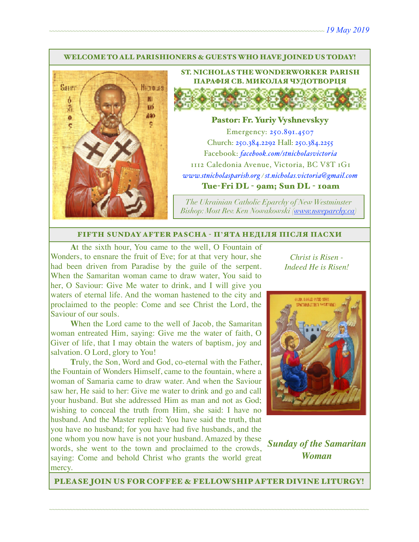#### WELCOME TO ALL PARISHIONERS & GUESTS WHO HAVE JOINED US TODAY!



ST. NICHOLAS THE WONDERWORKER PARISH ПАРАФІЯ СВ. МИКОЛАЯ ЧУДОТВОРЦЯ

### Pastor: Fr. Yuriy Vyshnevskyy

Emergency: 250.891.4507 Church: 250.384.2292 Hall: 250.384.2255 Facebook: *[facebook.com/stnicholasvictoria](http://facebook.com/stnicholasvictoria)* 1112 Caledonia Avenue, Victoria, BC V8T 1G1 *[www.stnicholasparish.org](http://www.stnicholasparish.org) / [st.nicholas.victoria@gmail.com](mailto:st.nicholas.victoria@gmail.com)* Tue-Fri DL - 9am; Sun DL - 10am

*The Ukrainian Catholic Eparchy of New Westminster Bishop: Most Rev. Ken Nowakowski ([www.nweparchy.ca](http://www.nweparchy.ca))*

#### FIFTH SUNDAY AFTER PASCHA - П**'**ЯТА НЕДІЛЯ ПІСЛЯ ПАСХИ

**A**t the sixth hour, You came to the well, O Fountain of Wonders, to ensnare the fruit of Eve; for at that very hour, she had been driven from Paradise by the guile of the serpent. When the Samaritan woman came to draw water, You said to her, O Saviour: Give Me water to drink, and I will give you waters of eternal life. And the woman hastened to the city and proclaimed to the people: Come and see Christ the Lord, the Saviour of our souls.

**W**hen the Lord came to the well of Jacob, the Samaritan woman entreated Him, saying: Give me the water of faith, O Giver of life, that I may obtain the waters of baptism, joy and salvation. O Lord, glory to You!

**T**ruly, the Son, Word and God, co-eternal with the Father, the Fountain of Wonders Himself, came to the fountain, where a woman of Samaria came to draw water. And when the Saviour saw her, He said to her: Give me water to drink and go and call your husband. But she addressed Him as man and not as God; wishing to conceal the truth from Him, she said: I have no husband. And the Master replied: You have said the truth, that you have no husband; for you have had five husbands, and the one whom you now have is not your husband. Amazed by these words, she went to the town and proclaimed to the crowds, saying: Come and behold Christ who grants the world great mercy.

*Christ is Risen - Indeed He is Risen!* 



*Sunday of the Samaritan Woman*

PLEASE JOIN US FOR COFFEE & FELLOWSHIP AFTER DIVINE LITURGY!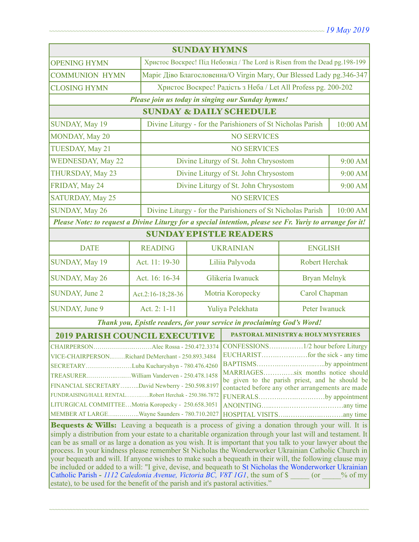| <b>SUNDAY HYMNS</b>                                                                                                                                                                                                                                                                                                                                                                                                                                                                                                                                                                                                                                                                                                                                                                                                                                                                                                                                                                                                                                                                                                                                                                          |                   |                                                                             |                  |                                               |                       |          |
|----------------------------------------------------------------------------------------------------------------------------------------------------------------------------------------------------------------------------------------------------------------------------------------------------------------------------------------------------------------------------------------------------------------------------------------------------------------------------------------------------------------------------------------------------------------------------------------------------------------------------------------------------------------------------------------------------------------------------------------------------------------------------------------------------------------------------------------------------------------------------------------------------------------------------------------------------------------------------------------------------------------------------------------------------------------------------------------------------------------------------------------------------------------------------------------------|-------------------|-----------------------------------------------------------------------------|------------------|-----------------------------------------------|-----------------------|----------|
| <b>OPENING HYMN</b>                                                                                                                                                                                                                                                                                                                                                                                                                                                                                                                                                                                                                                                                                                                                                                                                                                                                                                                                                                                                                                                                                                                                                                          |                   | Христос Воскрес! Під Небозвід / The Lord is Risen from the Dead pg. 198-199 |                  |                                               |                       |          |
| <b>COMMUNION HYMN</b>                                                                                                                                                                                                                                                                                                                                                                                                                                                                                                                                                                                                                                                                                                                                                                                                                                                                                                                                                                                                                                                                                                                                                                        |                   | Маріє Діво Благословенна/O Virgin Mary, Our Blessed Lady pg.346-347         |                  |                                               |                       |          |
| <b>CLOSING HYMN</b>                                                                                                                                                                                                                                                                                                                                                                                                                                                                                                                                                                                                                                                                                                                                                                                                                                                                                                                                                                                                                                                                                                                                                                          |                   | Христос Воскрес! Радість з Неба / Let All Profess pg. 200-202               |                  |                                               |                       |          |
| Please join us today in singing our Sunday hymns!                                                                                                                                                                                                                                                                                                                                                                                                                                                                                                                                                                                                                                                                                                                                                                                                                                                                                                                                                                                                                                                                                                                                            |                   |                                                                             |                  |                                               |                       |          |
| <b>SUNDAY &amp; DAILY SCHEDULE</b>                                                                                                                                                                                                                                                                                                                                                                                                                                                                                                                                                                                                                                                                                                                                                                                                                                                                                                                                                                                                                                                                                                                                                           |                   |                                                                             |                  |                                               |                       |          |
| SUNDAY, May 19                                                                                                                                                                                                                                                                                                                                                                                                                                                                                                                                                                                                                                                                                                                                                                                                                                                                                                                                                                                                                                                                                                                                                                               |                   | Divine Liturgy - for the Parishioners of St Nicholas Parish                 |                  |                                               |                       | 10:00 AM |
| MONDAY, May 20                                                                                                                                                                                                                                                                                                                                                                                                                                                                                                                                                                                                                                                                                                                                                                                                                                                                                                                                                                                                                                                                                                                                                                               |                   | <b>NO SERVICES</b>                                                          |                  |                                               |                       |          |
| TUESDAY, May 21                                                                                                                                                                                                                                                                                                                                                                                                                                                                                                                                                                                                                                                                                                                                                                                                                                                                                                                                                                                                                                                                                                                                                                              |                   | <b>NO SERVICES</b>                                                          |                  |                                               |                       |          |
| <b>WEDNESDAY, May 22</b>                                                                                                                                                                                                                                                                                                                                                                                                                                                                                                                                                                                                                                                                                                                                                                                                                                                                                                                                                                                                                                                                                                                                                                     |                   | Divine Liturgy of St. John Chrysostom                                       |                  |                                               |                       | 9:00 AM  |
| THURSDAY, May 23                                                                                                                                                                                                                                                                                                                                                                                                                                                                                                                                                                                                                                                                                                                                                                                                                                                                                                                                                                                                                                                                                                                                                                             |                   | Divine Liturgy of St. John Chrysostom                                       |                  |                                               |                       | 9:00 AM  |
| FRIDAY, May 24                                                                                                                                                                                                                                                                                                                                                                                                                                                                                                                                                                                                                                                                                                                                                                                                                                                                                                                                                                                                                                                                                                                                                                               |                   | Divine Liturgy of St. John Chrysostom                                       |                  |                                               |                       | 9:00 AM  |
| <b>SATURDAY, May 25</b>                                                                                                                                                                                                                                                                                                                                                                                                                                                                                                                                                                                                                                                                                                                                                                                                                                                                                                                                                                                                                                                                                                                                                                      |                   | <b>NO SERVICES</b>                                                          |                  |                                               |                       |          |
| SUNDAY, May 26                                                                                                                                                                                                                                                                                                                                                                                                                                                                                                                                                                                                                                                                                                                                                                                                                                                                                                                                                                                                                                                                                                                                                                               |                   | Divine Liturgy - for the Parishioners of St Nicholas Parish<br>10:00 AM     |                  |                                               |                       |          |
| Please Note: to request a Divine Liturgy for a special intention, please see Fr. Yuriy to arrange for it!                                                                                                                                                                                                                                                                                                                                                                                                                                                                                                                                                                                                                                                                                                                                                                                                                                                                                                                                                                                                                                                                                    |                   |                                                                             |                  |                                               |                       |          |
| <b>SUNDAY EPISTLE READERS</b>                                                                                                                                                                                                                                                                                                                                                                                                                                                                                                                                                                                                                                                                                                                                                                                                                                                                                                                                                                                                                                                                                                                                                                |                   |                                                                             |                  |                                               |                       |          |
| <b>DATE</b>                                                                                                                                                                                                                                                                                                                                                                                                                                                                                                                                                                                                                                                                                                                                                                                                                                                                                                                                                                                                                                                                                                                                                                                  | <b>READING</b>    |                                                                             | <b>UKRAINIAN</b> |                                               | <b>ENGLISH</b>        |          |
| SUNDAY, May 19                                                                                                                                                                                                                                                                                                                                                                                                                                                                                                                                                                                                                                                                                                                                                                                                                                                                                                                                                                                                                                                                                                                                                                               | Act. 11: 19-30    |                                                                             | Liliia Palyvoda  |                                               | <b>Robert Herchak</b> |          |
| SUNDAY, May 26                                                                                                                                                                                                                                                                                                                                                                                                                                                                                                                                                                                                                                                                                                                                                                                                                                                                                                                                                                                                                                                                                                                                                                               | Act. 16: 16-34    |                                                                             | Glikeria Iwanuck |                                               | <b>Bryan Melnyk</b>   |          |
| <b>SUNDAY, June 2</b>                                                                                                                                                                                                                                                                                                                                                                                                                                                                                                                                                                                                                                                                                                                                                                                                                                                                                                                                                                                                                                                                                                                                                                        | Act.2:16-18;28-36 |                                                                             | Motria Koropecky |                                               | Carol Chapman         |          |
| SUNDAY, June 9                                                                                                                                                                                                                                                                                                                                                                                                                                                                                                                                                                                                                                                                                                                                                                                                                                                                                                                                                                                                                                                                                                                                                                               |                   | Act. 2: 1-11                                                                | Yuliya Pelekhata |                                               | Peter Iwanuck         |          |
| Thank you, Epistle readers, for your service in proclaiming God's Word!                                                                                                                                                                                                                                                                                                                                                                                                                                                                                                                                                                                                                                                                                                                                                                                                                                                                                                                                                                                                                                                                                                                      |                   |                                                                             |                  |                                               |                       |          |
| <b>2019 PARISH COUNCIL EXECUTIVE</b>                                                                                                                                                                                                                                                                                                                                                                                                                                                                                                                                                                                                                                                                                                                                                                                                                                                                                                                                                                                                                                                                                                                                                         |                   |                                                                             |                  | <b>PASTORAL MINISTRY &amp; HOLY MYSTERIES</b> |                       |          |
| VICE-CHAIRPERSONRichard DeMerchant - 250.893.3484<br>BAPTISMSby appointment  <br>SECRETARYLuba Kucharyshyn - 780.476.4260<br>MARRIAGESsix months notice should<br>be given to the parish priest, and he should be<br>FINANCIAL SECRETARYDavid Newberry - 250.598.8197<br>contacted before any other arrangements are made<br>FUNDRAISING/HALL RENTALRobert Herchak - 250.386.7872<br>FUNERALSby appointment<br>LITURGICAL COMMITTEEMotria Koropecky - 250.658.3051<br>MEMBER AT LARGEWayne Saunders - 780.710.2027<br><b>Bequests &amp; Wills:</b> Leaving a bequeath is a process of giving a donation through your will. It is<br>simply a distribution from your estate to a charitable organization through your last will and testament. It<br>can be as small or as large a donation as you wish. It is important that you talk to your lawyer about the<br>process. In your kindness please remember St Nicholas the Wonderworker Ukrainian Catholic Church in<br>your bequeath and will. If anyone wishes to make such a bequeath in their will, the following clause may<br>be included or added to a will: "I give, devise, and bequeath to St Nicholas the Wonderworker Ukrainian |                   |                                                                             |                  |                                               |                       |          |
| Catholic Parish - 1112 Caledonia Avenue, Victoria BC, V8T 1G1, the sum of \$<br>$($ or<br>$%$ of my<br>estate), to be used for the benefit of the parish and it's pastoral activities."                                                                                                                                                                                                                                                                                                                                                                                                                                                                                                                                                                                                                                                                                                                                                                                                                                                                                                                                                                                                      |                   |                                                                             |                  |                                               |                       |          |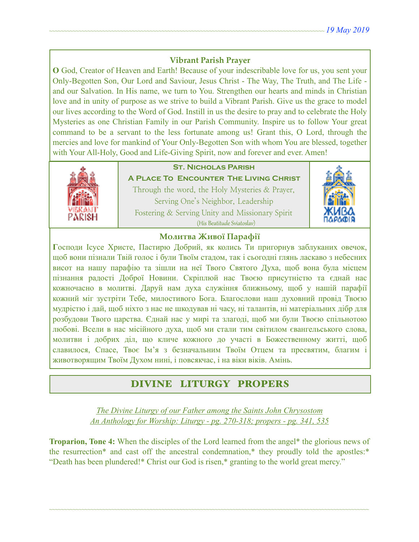### **Vibrant Parish Prayer**

**O** God, Creator of Heaven and Earth! Because of your indescribable love for us, you sent your Only-Begotten Son, Our Lord and Saviour, Jesus Christ - The Way, The Truth, and The Life and our Salvation. In His name, we turn to You. Strengthen our hearts and minds in Christian love and in unity of purpose as we strive to build a Vibrant Parish. Give us the grace to model our lives according to the Word of God. Instill in us the desire to pray and to celebrate the Holy Mysteries as one Christian Family in our Parish Community. Inspire us to follow Your great command to be a servant to the less fortunate among us! Grant this, O Lord, through the mercies and love for mankind of Your Only-Begotten Son with whom You are blessed, together with Your All-Holy, Good and Life-Giving Spirit, now and forever and ever. Amen!



## **St. Nicholas Parish**

**A Place To Encounter The Living Christ** Through the word, the Holy Mysteries & Prayer, Serving One's Neighbor, Leadership Fostering & Serving Unity and Missionary Spirit (His Beatitude Sviatoslav)



### **Молитва Живої Парафії**

**Г**осподи Ісусе Христе, Пастирю Добрий, як колись Ти пригорнув заблуканих овечок, щоб вони пізнали Твій голос і були Твоїм стадом, так і сьогодні глянь ласкаво з небесних висот на нашу парафію та зішли на неї Твого Святого Духа, щоб вона була місцем пізнання радості Доброї Новини. Скріплюй нас Твоєю присутністю та єднай нас кожночасно в молитві. Даруй нам духа служіння ближньому, щоб у нашій парафії кожний міг зустріти Тебе, милостивого Бога. Благослови наш духовний провід Твоєю мудрістю і дай, щоб ніхто з нас не шкодував ні часу, ні талантів, ні матеріальних дібр для розбудови Твого царства. Єднай нас у мирі та злагоді, щоб ми були Твоєю спільнотою любові. Всели в нас місійного духа, щоб ми стали тим світилом євангельського слова, молитви і добрих діл, що кличе кожного до участі в Божественному житті, щоб славилося, Спасе, Твоє Ім'я з безначальним Твоїм Отцем та пресвятим, благим і животворящим Твоїм Духом нині, і повсякчас, і на віки віків. Амінь.

# DIVINE LITURGY PROPERS

*The Divine Liturgy of our Father among the Saints John Chrysostom An Anthology for Worship: Liturgy - pg. 270-318; propers - pg. 341, 535* 

**Troparion, Tone 4:** When the disciples of the Lord learned from the angel\* the glorious news of the resurrection\* and cast off the ancestral condemnation,\* they proudly told the apostles:\* "Death has been plundered!\* Christ our God is risen,\* granting to the world great mercy."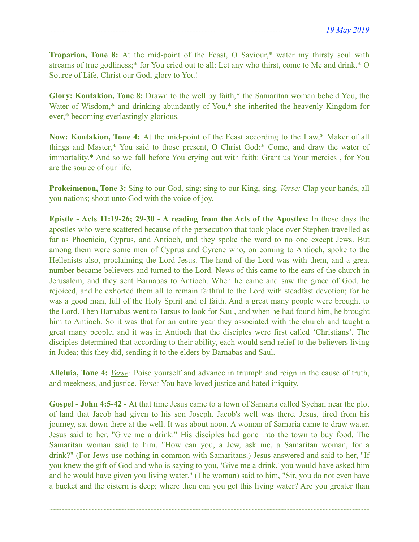**Troparion, Tone 8:** At the mid-point of the Feast, O Saviour,\* water my thirsty soul with streams of true godliness;\* for You cried out to all: Let any who thirst, come to Me and drink.\* O Source of Life, Christ our God, glory to You!

**Glory: Kontakion, Tone 8:** Drawn to the well by faith,\* the Samaritan woman beheld You, the Water of Wisdom,<sup>\*</sup> and drinking abundantly of You,<sup>\*</sup> she inherited the heavenly Kingdom for ever,\* becoming everlastingly glorious.

**Now: Kontakion, Tone 4:** At the mid-point of the Feast according to the Law,\* Maker of all things and Master,\* You said to those present, O Christ God:\* Come, and draw the water of immortality.\* And so we fall before You crying out with faith: Grant us Your mercies , for You are the source of our life.

**Prokeimenon, Tone 3:** Sing to our God, sing; sing to our King, sing. *Verse:* Clap your hands, all you nations; shout unto God with the voice of joy.

**Epistle - Acts 11:19-26; 29-30 - A reading from the Acts of the Apostles:** In those days the apostles who were scattered because of the persecution that took place over Stephen travelled as far as Phoenicia, Cyprus, and Antioch, and they spoke the word to no one except Jews. But among them were some men of Cyprus and Cyrene who, on coming to Antioch, spoke to the Hellenists also, proclaiming the Lord Jesus. The hand of the Lord was with them, and a great number became believers and turned to the Lord. News of this came to the ears of the church in Jerusalem, and they sent Barnabas to Antioch. When he came and saw the grace of God, he rejoiced, and he exhorted them all to remain faithful to the Lord with steadfast devotion; for he was a good man, full of the Holy Spirit and of faith. And a great many people were brought to the Lord. Then Barnabas went to Tarsus to look for Saul, and when he had found him, he brought him to Antioch. So it was that for an entire year they associated with the church and taught a great many people, and it was in Antioch that the disciples were first called 'Christians'. The disciples determined that according to their ability, each would send relief to the believers living in Judea; this they did, sending it to the elders by Barnabas and Saul.

**Alleluia, Tone 4:** *Verse:* Poise yourself and advance in triumph and reign in the cause of truth, and meekness, and justice. *Verse:* You have loved justice and hated iniquity.

**Gospel - John 4:5-42 -** At that time Jesus came to a town of Samaria called Sychar, near the plot of land that Jacob had given to his son Joseph. Jacob's well was there. Jesus, tired from his journey, sat down there at the well. It was about noon. A woman of Samaria came to draw water. Jesus said to her, "Give me a drink." His disciples had gone into the town to buy food. The Samaritan woman said to him, "How can you, a Jew, ask me, a Samaritan woman, for a drink?" (For Jews use nothing in common with Samaritans.) Jesus answered and said to her, "If you knew the gift of God and who is saying to you, 'Give me a drink,' you would have asked him and he would have given you living water." (The woman) said to him, "Sir, you do not even have a bucket and the cistern is deep; where then can you get this living water? Are you greater than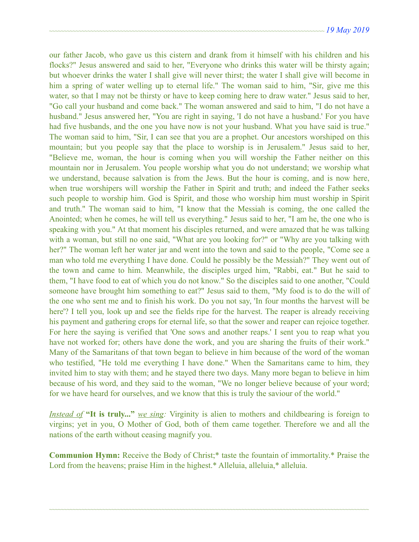our father Jacob, who gave us this cistern and drank from it himself with his children and his flocks?" Jesus answered and said to her, "Everyone who drinks this water will be thirsty again; but whoever drinks the water I shall give will never thirst; the water I shall give will become in him a spring of water welling up to eternal life." The woman said to him, "Sir, give me this water, so that I may not be thirsty or have to keep coming here to draw water." Jesus said to her, "Go call your husband and come back." The woman answered and said to him, "I do not have a husband." Jesus answered her, "You are right in saying, 'I do not have a husband.' For you have had five husbands, and the one you have now is not your husband. What you have said is true." The woman said to him, "Sir, I can see that you are a prophet. Our ancestors worshiped on this mountain; but you people say that the place to worship is in Jerusalem." Jesus said to her, "Believe me, woman, the hour is coming when you will worship the Father neither on this mountain nor in Jerusalem. You people worship what you do not understand; we worship what we understand, because salvation is from the Jews. But the hour is coming, and is now here, when true worshipers will worship the Father in Spirit and truth; and indeed the Father seeks such people to worship him. God is Spirit, and those who worship him must worship in Spirit and truth." The woman said to him, "I know that the Messiah is coming, the one called the Anointed; when he comes, he will tell us everything." Jesus said to her, "I am he, the one who is speaking with you." At that moment his disciples returned, and were amazed that he was talking with a woman, but still no one said, "What are you looking for?" or "Why are you talking with her?" The woman left her water jar and went into the town and said to the people, "Come see a man who told me everything I have done. Could he possibly be the Messiah?" They went out of the town and came to him. Meanwhile, the disciples urged him, "Rabbi, eat." But he said to them, "I have food to eat of which you do not know." So the disciples said to one another, "Could someone have brought him something to eat?" Jesus said to them, "My food is to do the will of the one who sent me and to finish his work. Do you not say, 'In four months the harvest will be here'? I tell you, look up and see the fields ripe for the harvest. The reaper is already receiving his payment and gathering crops for eternal life, so that the sower and reaper can rejoice together. For here the saying is verified that 'One sows and another reaps.' I sent you to reap what you have not worked for; others have done the work, and you are sharing the fruits of their work." Many of the Samaritans of that town began to believe in him because of the word of the woman who testified, "He told me everything I have done." When the Samaritans came to him, they invited him to stay with them; and he stayed there two days. Many more began to believe in him because of his word, and they said to the woman, "We no longer believe because of your word; for we have heard for ourselves, and we know that this is truly the saviour of the world."

*Instead of* **"It is truly..."** *we sing:* Virginity is alien to mothers and childbearing is foreign to virgins; yet in you, O Mother of God, both of them came together. Therefore we and all the nations of the earth without ceasing magnify you.

**Communion Hymn:** Receive the Body of Christ;\* taste the fountain of immortality.\* Praise the Lord from the heavens; praise Him in the highest.\* Alleluia, alleluia,\* alleluia.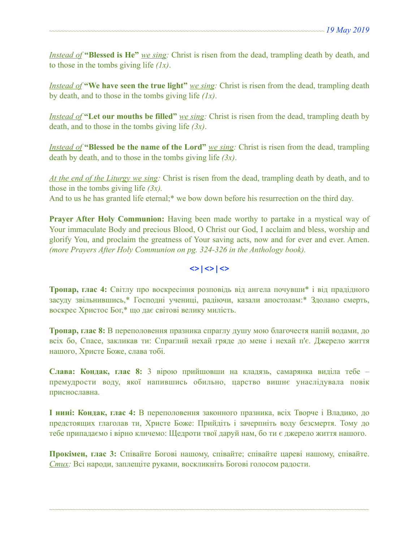*Instead of* **"Blessed is He"** *we sing:* Christ is risen from the dead, trampling death by death, and to those in the tombs giving life *(1x)*.

*Instead of* **"We have seen the true light"** *we sing:* Christ is risen from the dead, trampling death by death, and to those in the tombs giving life *(1x)*.

*Instead of* "Let our mouths be filled" *we sing*: Christ is risen from the dead, trampling death by death, and to those in the tombs giving life *(3x)*.

*Instead of* **"Blessed be the name of the Lord"** *we sing:* Christ is risen from the dead, trampling death by death, and to those in the tombs giving life *(3x)*.

*At the end of the Liturgy we sing:* Christ is risen from the dead, trampling death by death, and to those in the tombs giving life *(3x).* 

And to us he has granted life eternal;<sup>\*</sup> we bow down before his resurrection on the third day.

**Prayer After Holy Communion:** Having been made worthy to partake in a mystical way of Your immaculate Body and precious Blood, O Christ our God, I acclaim and bless, worship and glorify You, and proclaim the greatness of Your saving acts, now and for ever and ever. Amen. *(more Prayers After Holy Communion on pg. 324-326 in the Anthology book).* 

## **<>|<>|<>**

**Тропар, глас 4:** Світлу про воскресіння розповідь від ангела почувши\* і від прадідного засуду звільнившись,\* Господні учениці, радіючи, казали апостолам:\* Здолано смерть, воскрес Христос Бог,\* що дає світові велику милість.

**Тропар, глас 8:** В переполовення празника спраглу душу мою благочестя напій водами, до всіх бо, Спасе, закликав ти: Спраглий нехай гряде до мене і нехай п'є. Джерело життя нашого, Христе Боже, слава тобі.

**Слава: Кондак, глас 8:** 3 вірою прийшовши на кладязь, самарянка виділа тебе – премудрости воду, якої напившись обильно, царство вишнє унаслідувала повік приснославна.

**І нині: Кондак, глас 4:** В переполовення законного празника, всіх Творче і Владико, до предстоящих глаголав ти, Христе Боже: Прийдіть і зачерпніть воду безсмертя. Тому до тебе припадаємо і вірно кличемо: Щедроти твої даруй нам, бо ти є джерело життя нашого.

**Прокімен, глас 3:** Співайте Богові нашому, співайте; співайте цареві нашому, співайте. *Стих:* Всі народи, заплещіте руками, воскликніть Богові голосом радости.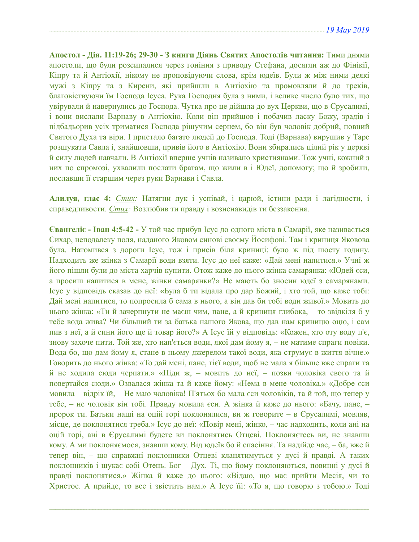**Апостол - Дія. 11:19-26; 29-30 - З книги Діянь Святих Апостолів читання:** Тими днями апостоли, що були розсипалися через гоніння з приводу Стефана, досягли аж до Фінікії, Кіпру та й Антіохії, нікому не проповідуючи слова, крім юдеїв. Були ж між ними деякі мужі з Кіпру та з Кирени, які прийшли в Антіохію та промовляли й до греків, благовіствуючи їм Господа Ісуса. Рука Господня була з ними, і велике число було тих, що увірували й навернулись до Господа. Чутка про це дійшла до вух Церкви, що в Єрусалимі, і вони вислали Варнаву в Антіохію. Коли він прийшов і побачив ласку Божу, зрадів і підбадьорив усіх триматися Господа рішучим серцем, бо він був чоловік добрий, повний Святого Духа та віри. І пристало багато людей до Господа. Тоді (Варнава) вирушив у Тарс розшукати Савла і, знайшовши, привів його в Антіохію. Вони збирались цілий рік у церкві й силу людей навчали. В Антіохії вперше учнів називано християнами. Тож учні, кожний з них по спромозі, ухвалили послати братам, що жили в і Юдеї, допомогу; що й зробили, пославши її старшим через руки Варнави і Савла.

**Алилуя, глас 4:** *Стих:* Натягни лук і успівай, і царюй, істини ради і лагідности, і справедливости. *Стих:* Возлюбив ти правду і возненавидів ти беззаконня.

**Євангеліє - Іван 4:5-42 -** У той час прибув Ісус до одного міста в Самарії, яке називається Сихар, неподалеку поля, наданого Яковом синові своєму Йосифові. Там і криниця Яковова була. Натомився з дороги Ісус, тож і присів біля криниці; було ж під шосту годину. Надходить же жінка з Самарії води взяти. Ісус до неї каже: «Дай мені напитися.» Учні ж його пішли були до міста харчів купити. Отож каже до нього жінка самарянка: «Юдей єси, а просиш напитися в мене, жінки самарянки?» Не мають бо зносин юдеї з самарянами. Ісус у відповідь сказав до неї: «Була б ти відала про дар Божий, і хто той, що каже тобі: Дай мені напитися, то попросила б сама в нього, а він дав би тобі води живої.» Мовить до нього жінка: «Ти й зачерпнути не маєш чим, пане, а й криниця глибока, – то звідкіля б у тебе вода жива? Чи більший ти за батька нашого Якова, що дав нам криницю оцю, і сам пив з неї, а й сини його ще й товар його?» А Ісус їй у відповідь: «Кожен, хто оту воду п'є, знову захоче пити. Той же, хто нап'ється води, якої дам йому я, – не матиме спраги повіки. Вода бо, що дам йому я, стане в ньому джерелом такої води, яка струмує в життя вічне.» Говорить до нього жінка: «То дай мені, пане, тієї води, щоб не мала я більше вже спраги та й не ходила сюди черпати.» «Піди ж, – мовить до неї, – позви чоловіка свого та й повертайся сюди.» Озвалася жінка та й каже йому: «Нема в мене чоловіка.» «Добре єси мовила – відрік їй, – Не маю чоловіка! П'ятьох бо мала єси чоловіків, та й той, що тепер у тебе, – не чоловік він тобі. Правду мовила єси. А жінка й каже до нього: «Бачу, пане, – пророк ти. Батьки наші на оцій горі поклонялися, ви ж говорите – в Єрусалимі, мовляв, місце, де поклонятися треба.» Ісус до неї: «Повір мені, жінко, – час надходить, коли ані на оцій горі, ані в Єрусалимі будете ви поклонятись Отцеві. Поклоняєтесь ви, не знавши кому. А ми поклоняємося, знавши кому. Від юдеїв бо й спасіння. Та надійде час, – ба, вже й тепер він, – що справжні поклонники Отцеві кланятимуться у дусі й правді. А таких поклонників і шукає собі Отець. Бог – Дух. Ті, що йому поклоняються, повинні у дусі й правді поклонятися.» Жінка й каже до нього: «Відаю, що має прийти Месія, чи то Христос. А прийде, то все і звістить нам.» А Ісус їй: «То я, що говорю з тобою.» Тоді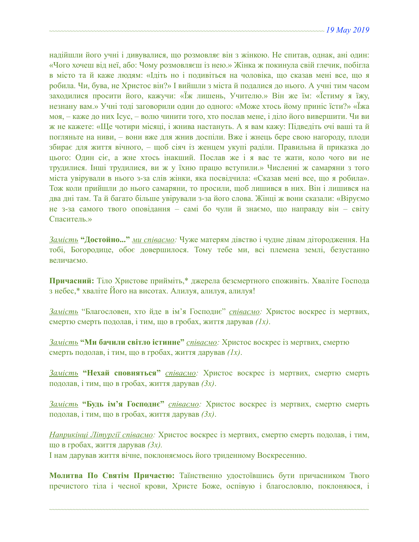надійшли його учні і дивувалися, що розмовляє він з жінкою. Не спитав, однак, ані один: «Чого хочеш від неї, або: Чому розмовляєш із нею.» Жінка ж покинула свій глечик, побігла в місто та й каже людям: «Ідіть но і подивіться на чоловіка, що сказав мені все, що я робила. Чи, бува, не Христос він?» І вийшли з міста й подалися до нього. А учні тим часом заходилися просити його, кажучи: «Їж лишень, Учителю.» Він же їм: «Їстиму я їжу, незнану вам.» Учні тоді заговорили один до одного: «Може хтось йому приніс їсти?» «Їжа моя, – каже до них Ісус, – волю чинити того, хто послав мене, і діло його вивершити. Чи ви ж не кажете: «Ще чотири місяці, і жнива настануть. А я вам кажу: Підведіть очі ваші та й погляньте на ниви, – вони вже для жнив доспіли. Вже і жнець бере свою нагороду, плоди збирає для життя вічного, – щоб сіяч із женцем укупі раділи. Правильна й приказка до цього: Один сіє, а жне хтось інакший. Послав же і я вас те жати, коло чого ви не трудилися. Інші трудилися, ви ж у їхню працю вступили.» Численні ж самаряни з того міста увірували в нього з-за слів жінки, яка посвідчила: «Сказав мені все, що я робила». Тож коли прийшли до нього самаряни, то просили, щоб лишився в них. Він і лишився на два дні там. Та й багато більше увірували з-за його слова. Жінці ж вони сказали: «Віруємо не з-за самого твого оповідання – самі бо чули й знаємо, що направду він – світу Спаситель.»

*Замість* **"Достойно..."** *ми співаємо:* Чуже матерям дівство і чудне дівам дітородження. На тобі, Богородице, обоє довершилося. Тому тебе ми, всі племена землі, безустанно величаємо.

**Причасний:** Тіло Христове прийміть,\* джерела безсмертного споживіть. Хваліте Господа з небес,\* хваліте Його на висотах. Алилуя, aлилуя, aлилуя!

*Замість* "Благословен, хто йде в ім'я Господнє" *співаємо:* Христос воскрес із мертвих, смертю смерть подолав, і тим, що в гробах, життя дарував *(1x)*.

*Замість* **"Ми бачили світло істинне"** *співаємо:* Христос воскрес із мертвих, смертю смерть подолав, і тим, що в гробах, життя дарував *(1x)*.

*Замість* **"Нехай сповняться"** *співаємо:* Христос воскрес із мертвих, смертю смерть подолав, і тим, що в гробах, життя дарував *(3x)*.

*Замість* **"Будь ім'я Господнє"** *співаємо:* Христос воскрес із мертвих, смертю смерть подолав, і тим, що в гробах, життя дарував *(3x)*.

*Наприкінці Літургії співаємо:* Христос воскрес із мертвих, смертю смерть подолав, і тим, що в гробах, життя дарував *(3x).*

І нам дарував життя вічне, поклоняємось його триденному Воскресенню.

**Молитва По Святім Причастю:** Таїнственно удостоївшись бути причасником Твого пречистого тіла і чесної крови, Христе Боже, оспівую і благословлю, поклоняюся, і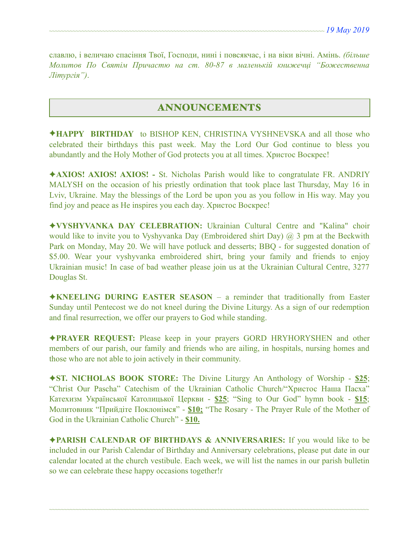славлю, і величаю спасіння Твої, Господи, нині і повсякчас, і на віки вічні. Амінь. *(більше Молитов По Святім Причастю на ст. 80-87 в маленькій книжечці "Божественна Літургія")*.

## ANNOUNCEMENTS

✦**HAPPY BIRTHDAY** to BISHOP KEN, CHRISTINA VYSHNEVSKA and all those who celebrated their birthdays this past week. May the Lord Our God continue to bless you abundantly and the Holy Mother of God protects you at all times. Христос Воскрес!

✦**AXIOS! AXIOS! AXIOS! -** St. Nicholas Parish would like to congratulate FR. ANDRIY MALYSH on the occasion of his priestly ordination that took place last Thursday, May 16 in Lviv, Ukraine. May the blessings of the Lord be upon you as you follow in His way. May you find joy and peace as He inspires you each day. Христос Воскрес!

✦**VYSHYVANKA DAY CELEBRATION:** Ukrainian Cultural Centre and "Kalina" choir would like to invite you to Vyshyvanka Day (Embroidered shirt Day)  $(a)$  3 pm at the Beckwith Park on Monday, May 20. We will have potluck and desserts; BBQ - for suggested donation of \$5.00. Wear your vyshyvanka embroidered shirt, bring your family and friends to enjoy Ukrainian music! In case of bad weather please join us at the Ukrainian Cultural Centre, 3277 Douglas St.

✦**KNEELING DURING EASTER SEASON** – a reminder that traditionally from Easter Sunday until Pentecost we do not kneel during the Divine Liturgy. As a sign of our redemption and final resurrection, we offer our prayers to God while standing.

✦**PRAYER REQUEST:** Please keep in your prayers GORD HRYHORYSHEN and other members of our parish, our family and friends who are ailing, in hospitals, nursing homes and those who are not able to join actively in their community.

✦**ST. NICHOLAS BOOK STORE:** The Divine Liturgy An Anthology of Worship - **\$25**; "Christ Our Pascha" Catechism of the Ukrainian Catholic Church/"Христос Наша Пасха" Катехизм Української Католицької Церкви - **\$25**; "Sing to Our God" hymn book - **\$15**; Молитовник "Прийдіте Поклонімся" - **\$10;** "The Rosary - The Prayer Rule of the Mother of God in the Ukrainian Catholic Church" - **\$10.** 

✦**PARISH CALENDAR OF BIRTHDAYS & ANNIVERSARIES:** If you would like to be included in our Parish Calendar of Birthday and Anniversary celebrations, please put date in our calendar located at the church vestibule. Each week, we will list the names in our parish bulletin so we can celebrate these happy occasions together!<sup> $\mathbf{r}$ </sup>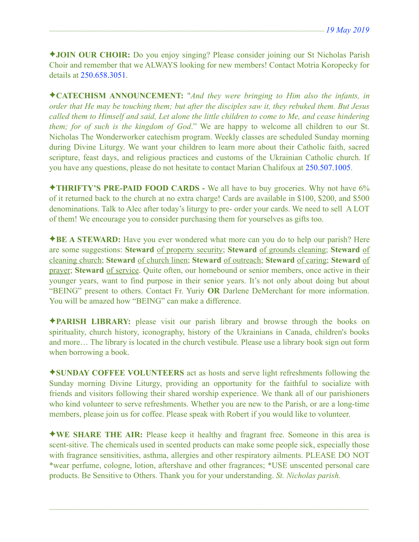✦**JOIN OUR CHOIR:** Do you enjoy singing? Please consider joining our St Nicholas Parish Choir and remember that we ALWAYS looking for new members! Contact Motria Koropecky for details at 250.658.3051.

✦**CATECHISM ANNOUNCEMENT:** "*And they were bringing to Him also the infants, in order that He may be touching them; but after the disciples saw it, they rebuked them. But Jesus called them to Himself and said, Let alone the little children to come to Me, and cease hindering them; for of such is the kingdom of God*." We are happy to welcome all children to our St. Nicholas The Wonderworker catechism program. Weekly classes are scheduled Sunday morning during Divine Liturgy. We want your children to learn more about their Catholic faith, sacred scripture, feast days, and religious practices and customs of the Ukrainian Catholic church. If you have any questions, please do not hesitate to contact Marian Chalifoux at 250.507.1005.

✦**THRIFTY'S PRE-PAID FOOD CARDS -** We all have to buy groceries. Why not have 6% of it returned back to the church at no extra charge! Cards are available in \$100, \$200, and \$500 denominations. Talk to Alec after today's liturgy to pre- order your cards. We need to sell A LOT of them! We encourage you to consider purchasing them for yourselves as gifts too.

✦**BE A STEWARD:** Have you ever wondered what more can you do to help our parish? Here are some suggestions: **Steward** of property security; **Steward** of grounds cleaning; **Steward** of cleaning church; **Steward** of church linen; **Steward** of outreach; **Steward** of caring; **Steward** of prayer; **Steward** of service. Quite often, our homebound or senior members, once active in their younger years, want to find purpose in their senior years. It's not only about doing but about "BEING" present to others. Contact Fr. Yuriy **OR** Darlene DeMerchant for more information. You will be amazed how "BEING" can make a difference.

✦**PARISH LIBRARY:** please visit our parish library and browse through the books on spirituality, church history, iconography, history of the Ukrainians in Canada, children's books and more… The library is located in the church vestibule. Please use a library book sign out form when borrowing a book.

✦**SUNDAY COFFEE VOLUNTEERS** act as hosts and serve light refreshments following the Sunday morning Divine Liturgy, providing an opportunity for the faithful to socialize with friends and visitors following their shared worship experience. We thank all of our parishioners who kind volunteer to serve refreshments. Whether you are new to the Parish, or are a long-time members, please join us for coffee. Please speak with Robert if you would like to volunteer.

✦**WE SHARE THE AIR:** Please keep it healthy and fragrant free. Someone in this area is scent-sitive. The chemicals used in scented products can make some people sick, especially those with fragrance sensitivities, asthma, allergies and other respiratory ailments. PLEASE DO NOT \*wear perfume, cologne, lotion, aftershave and other fragrances; \*USE unscented personal care products. Be Sensitive to Others. Thank you for your understanding. *St. Nicholas parish.*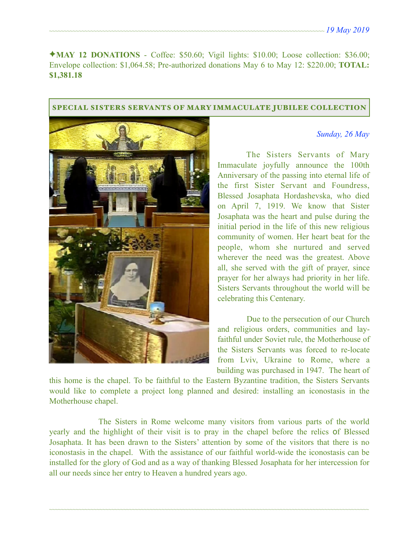✦**MAY 12 DONATIONS** - Coffee: \$50.60; Vigil lights: \$10.00; Loose collection: \$36.00; Envelope collection: \$1,064.58; Pre-authorized donations May 6 to May 12: \$220.00; **TOTAL: \$1,381.18**

### SPECIAL SISTERS SERVANTS OF MARY IMMACULATE JUBILEE COLLECTION

### *Sunday, 26 May*



 Due to the persecution of our Church and religious orders, communities and layfaithful under Soviet rule, the Motherhouse of the Sisters Servants was forced to re-locate from Lviv, Ukraine to Rome, where a building was purchased in 1947. The heart of

this home is the chapel. To be faithful to the Eastern Byzantine tradition, the Sisters Servants would like to complete a project long planned and desired: installing an iconostasis in the Motherhouse chapel.

 The Sisters in Rome welcome many visitors from various parts of the world yearly and the highlight of their visit is to pray in the chapel before the relics оf Blessed Josaphata. It has been drawn to the Sisters' attention by some of the visitors that there is no iconostasis in the chapel. With the assistance of our faithful world-wide the iconostasis can be installed for the glory of God and as a way of thanking Blessed Josaphata for her intercession for all our needs since her entry to Heaven a hundred years ago.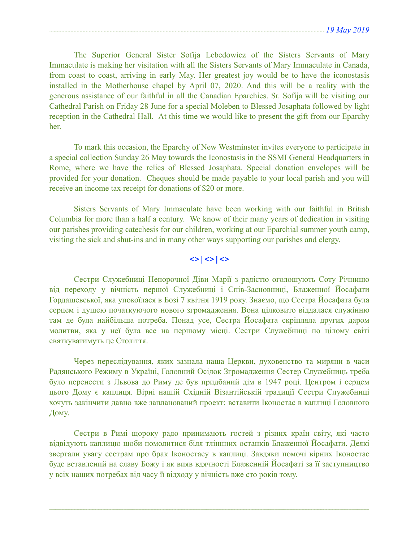The Superior General Sister Sofija Lebedowicz of the Sisters Servants of Mary Immaculate is making her visitation with all the Sisters Servants of Mary Immaculate in Canada, from coast to coast, arriving in early May. Her greatest joy would be to have the iconostasis installed in the Motherhouse chapel by April 07, 2020. And this will be a reality with the generous assistance of our faithful in all the Canadian Eparchies. Sr. Sofija will be visiting our Cathedral Parish on Friday 28 June for a special Moleben to Blessed Josaphata followed by light reception in the Cathedral Hall. At this time we would like to present the gift from our Eparchy her.

 To mark this occasion, the Eparchy of New Westminster invites everyone to participate in a special collection Sunday 26 May towards the Iconostasis in the SSMI General Headquarters in Rome, where we have the relics of Blessed Josaphata. Special donation envelopes will be provided for your donation. Cheques should be made payable to your local parish and you will receive an income tax receipt for donations of \$20 or more.

 Sisters Servants of Mary Immaculate have been working with our faithful in British Columbia for more than a half a century. We know of their many years of dedication in visiting our parishes providing catechesis for our children, working at our Eparchial summer youth camp, visiting the sick and shut-ins and in many other ways supporting our parishes and clergy.

### $|12|$

Сестри Служебниці Непорочної Діви Марії з радістю оголошують Соту Річницю від переходу у вічність першої Служебниці і Спів-Засновниці, Блаженної Йосафати Гордашевської, яка упокоїлася в Бозі 7 квітня 1919 року. Знаємо, що Сестра Йосафата була серцем і душею початкуючого нового згромадження. Вона цілковито віддалася служінню там де була найбільша потреба. Понад усе, Сестра Йосафата скріпляла других даром молитви, яка у неї була все на першому місці. Сестри Служебниці по цілому світі святкуватимуть це Століття.

Через переслідування, яких зазнала наша Церкви, духовенство та миряни в часи Радянського Режиму в Україні, Головний Осідок Згромадження Сестер Служебниць треба було перенести з Львова до Риму де був придбаний дім в 1947 році. Центром і серцем цього Дому є каплиця. Вірні нашій Східній Візантійській традиції Сестри Служебниці хочуть закінчити давно вже запланований проект: вставити Іконостас в каплиці Головного Дому.

Сестри в Римі щороку радо принимають гостей з різних країн світу, які часто відвідують каплицю щоби помолитися біля тліннних останків Блаженної Йосафати. Деякі звертали увагу сестрам про брак Іконостасу в каплиці. Завдяки помочі вірних Іконостас буде вставлений на славу Божу і як вияв вдячності Блаженній Йосафаті за її заступництво у всіх наших потребах від часу її відходу у вічність вже сто років тому.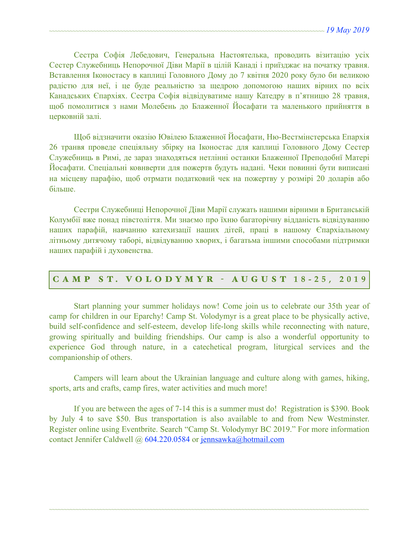Сестра Софія Лебедович, Генеральна Настоятелька, проводить візитацію усіх Сестер Служебниць Непорочної Діви Марії в цілій Канаді і приїзджає на початку травня. Вставлення Іконостасу в каплиці Головного Дому до 7 квітня 2020 року було би великою радістю для неї, і це буде реальністю за щедрою допомогою наших вірних по всіх Канадських Єпархіях. Сестра Софія відвідуватиме нашу Катедру в п'ятницю 28 травня, щоб помолитися з нами Молебень до Блаженної Йосафати та маленького прийняття в церковній залі.

Щоб відзначити оказію Ювілею Блаженної Йосафати, Ню-Вестмінстерська Епархія 26 транвя проведе спеціяльну збірку на Іконостас для каплиці Головного Дому Сестер Служебниць в Римі, де зараз знаходяться нетлінні останки Блаженної Преподобнї Матері Йосафати. Спеціальні ковнверти для пожертв будуть надані. Чеки повинні бути виписані на місцеву парафію, щоб отрмати податковий чек на пожертву у розмірі 20 доларів або більше.

Сестри Служебниці Непорочної Діви Марії служать нашими вірними в Британській Колумбії вже понад півстоліття. Ми знаємо про їхню багаторічну відданість відвідуванню наших парафій, навчанню катехизації наших дітей, праці в нашому Єпархіальному літньому дитячому таборі, відвідуванню хворих, і багатьма іншими способами підтримки наших парафій і духовенства.

### C A M P S T. V O L O D Y M Y R - AUGUST **18-25, 2019**

 Start planning your summer holidays now! Come join us to celebrate our 35th year of camp for children in our Eparchy! Camp St. Volodymyr is a great place to be physically active, build self-confidence and self-esteem, develop life-long skills while reconnecting with nature, growing spiritually and building friendships. Our camp is also a wonderful opportunity to experience God through nature, in a catechetical program, liturgical services and the companionship of others.

Campers will learn about the Ukrainian language and culture along with games, hiking, sports, arts and crafts, camp fires, water activities and much more!

If you are between the ages of 7-14 this is a summer must do! Registration is \$390. Book by July 4 to save \$50. Bus transportation is also available to and from New Westminster. Register online using Eventbrite. Search "Camp St. Volodymyr BC 2019." For more information contact Jennifer Caldwell @ 604.220.0584 or [jennsawka@hotmail.com](mailto:jennsawka@hotmail.com)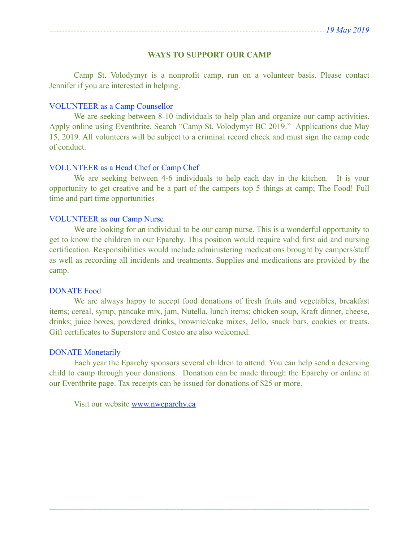#### **WAYS TO SUPPORT OUR CAMP**

Camp St. Volodymyr is a nonprofit camp, run on a volunteer basis. Please contact Jennifer if you are interested in helping.

#### VOLUNTEER as a Camp Counsellor

We are seeking between 8-10 individuals to help plan and organize our camp activities. Apply online using Eventbrite. Search "Camp St. Volodymyr BC 2019." Applications due May 15, 2019. All volunteers will be subject to a criminal record check and must sign the camp code of conduct.

### VOLUNTEER as a Head Chef or Camp Chef

We are seeking between 4-6 individuals to help each day in the kitchen. It is your opportunity to get creative and be a part of the campers top 5 things at camp; The Food! Full time and part time opportunities

#### VOLUNTEER as our Camp Nurse

We are looking for an individual to be our camp nurse. This is a wonderful opportunity to get to know the children in our Eparchy. This position would require valid first aid and nursing certification. Responsibilities would include administering medications brought by campers/staff as well as recording all incidents and treatments. Supplies and medications are provided by the camp.

#### DONATE Food

We are always happy to accept food donations of fresh fruits and vegetables, breakfast items; cereal, syrup, pancake mix, jam, Nutella, lunch items; chicken soup, Kraft dinner, cheese, drinks; juice boxes, powdered drinks, brownie/cake mixes, Jello, snack bars, cookies or treats. Gift certificates to Superstore and Costco are also welcomed.

#### DONATE Monetarily

Each year the Eparchy sponsors several children to attend. You can help send a deserving child to camp through your donations. Donation can be made through the Eparchy or online at our Eventbrite page. Tax receipts can be issued for donations of \$25 or more.

~~~~~~~~~~~~~~~~~~~~~~~~~~~~~~~~~~~~~~~~~~~~~~~~~~~~~~~~~~~~~~~~~~~~~~~~~~~~~~~~~~~~~~~~~~~~~~~~~~~~~~~~~~~~

Visit our website [www.nweparchy.ca](http://www.nweparchy.ca/)